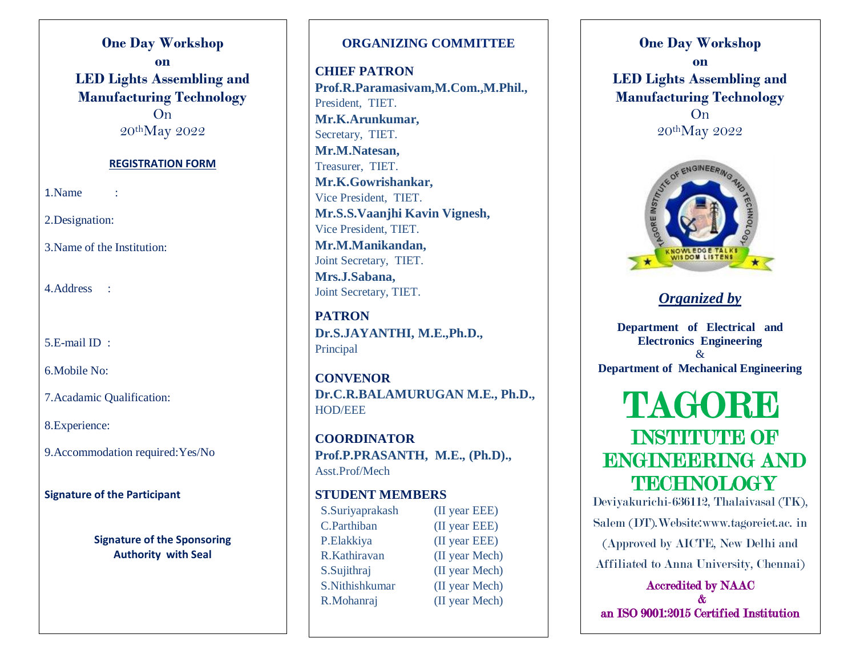**One Day Workshop on LED Lights Assembling and Manufacturing Technology** On 20<sup>th</sup>May 2022

#### **REGISTRATION FORM**

1.Name :

2.Designation:

3.Name of the Institution:

4.Address :

5.E-mail ID :

6.Mobile No:

7.Acadamic Qualification:

8.Experience:

9.Accommodation required:Yes/No

**Signature of the Participant**

**Signature of the Sponsoring Authority with Seal**

### **ORGANIZING COMMITTEE**

**CHIEF PATRON Prof.R.Paramasivam,M.Com.,M.Phil.,** President, TIET. **Mr.K.Arunkumar,** Secretary, TIET. **Mr.M.Natesan,** Treasurer, TIET. **Mr.K.Gowrishankar,** Vice President, TIET. **Mr.S.S.Vaanjhi Kavin Vignesh,** Vice President, TIET. **Mr.M.Manikandan,** Joint Secretary, TIET. **Mrs.J.Sabana,** Joint Secretary, TIET.

**PATRON Dr.S.JAYANTHI, M.E.,Ph.D.,** Principal

**CONVENOR Dr.C.R.BALAMURUGAN M.E., Ph.D.,** HOD/EEE

**COORDINATOR Prof.P.PRASANTH, M.E., (Ph.D).,** Asst.Prof/Mech

# **STUDENT MEMBERS**

C.Parthiban (II year EEE) P.Elakkiya (II year EEE) R.Kathiravan (II year Mech) S.Sujithraj (II year Mech) S. Nithishkumar (II year Mech) R.Mohanraj (II year Mech)

S.Suriyaprakash (II year EEE)

**One Day Workshop on LED Lights Assembling and Manufacturing Technology** On 20thMay 2022



# *Organized by*

**Department of Electrical and Electronics Engineering** & **Department of Mechanical Engineering**

# TAGORE INSTITUTE OF ENGINEERING AND **TECHNOLOGY**

Deviyakurichi-636112, Thalaivasal (TK), Salem (DT).Website:www.tagoreiet.ac. in (Approved by AICTE, New Delhi and Affiliated to Anna University, Chennai)

Accredited by NAAC & an ISO 9001:2015 Certified Institution